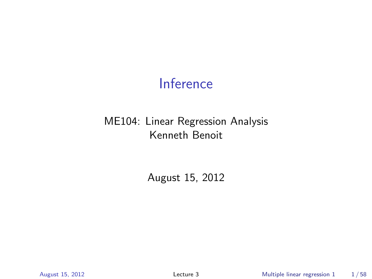## Inference

#### ME104: Linear Regression Analysis Kenneth Benoit

August 15, 2012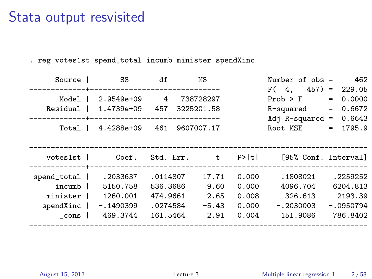#### Stata output resvisited

. reg votes1st spend\_total incumb minister spendXinc

| Source      | SS          | df       | МS                       |       | Number of $obs =$    |     | 462         |
|-------------|-------------|----------|--------------------------|-------|----------------------|-----|-------------|
|             |             |          | ------------------------ |       | F(4,<br>457)         | $=$ | 229.05      |
| Model       | 2.9549e+09  | 4        | 738728297                |       | $Prob$ > $F$         | $=$ | 0.0000      |
| Residual    | 1.4739e+09  | 457      | 3225201.58               |       | R-squared            | $=$ | 0.6672      |
|             |             |          |                          |       | Adj $R$ -squared =   |     | 0.6643      |
| Total       | 4.4288e+09  | 461      | 9607007.17               |       | Root MSE             | $=$ | 1795.9      |
|             |             |          |                          |       |                      |     |             |
|             |             |          |                          |       |                      |     |             |
| votes1st    | Coef.       |          | Std. Err. t              | P>  t | [95% Conf. Interval] |     |             |
|             |             |          |                          |       |                      |     |             |
| spend_total | .2033637    | .0114807 | 17.71                    | 0.000 | .1808021             |     | .2259252    |
| incumb      | 5150.758    | 536.3686 | 9.60                     | 0.000 | 4096.704             |     | 6204.813    |
| minister    | 1260.001    | 474.9661 | 2.65                     | 0.008 | 326.613              |     | 2193.39     |
| spendXinc   | $-.1490399$ | .0274584 | $-5.43$                  | 0.000 | $-.2030003$          |     | $-.0950794$ |
| $\_cons$    | 469.3744    | 161.5464 | 2.91                     | 0.004 | 151.9086             |     | 786.8402    |
|             |             |          |                          |       |                      |     |             |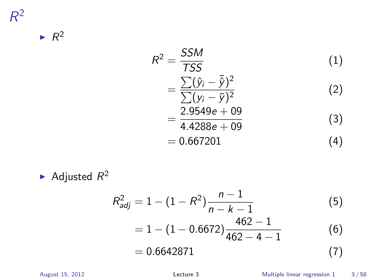$\blacktriangleright R^2$ 

$$
R^{2} = \frac{SSM}{TSS}
$$
(1)  
=  $\frac{\sum (\hat{y}_{i} - \bar{\hat{y}})^{2}}{\sum (y_{i} - \bar{y})^{2}}$  (2)  
=  $\frac{2.9549e + 09}{4.4288e + 09}$  (3)  
= 0.667201 (4)

Adjusted  $R^2$ 

$$
R_{adj}^{2} = 1 - (1 - R^{2}) \frac{n - 1}{n - k - 1}
$$
(5)  
= 1 - (1 - 0.6672)  $\frac{462 - 1}{462 - 4 - 1}$  (6)  
= 0.6642871 (7)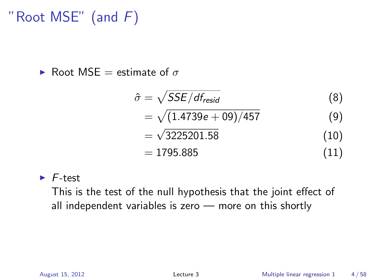# "Root MSE" (and  $F$ )

► Root MSE = estimate of  $\sigma$ 

$$
\hat{\sigma} = \sqrt{SSE/df_{resid}}
$$
(8)  
=  $\sqrt{(1.4739e + 09)/457}$  (9)  
=  $\sqrt{3225201.58}$  (10)  
= 1795.885 (11)

 $\blacktriangleright$  F-test

This is the test of the null hypothesis that the joint effect of all independent variables is zero — more on this shortly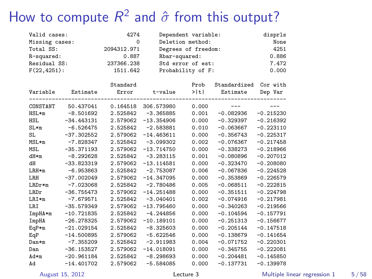# How to compute  $R^2$  and  $\hat{\sigma}$  from this output?

| Valid cases:    |              | 4274        |                   | Dependent variable: |              | disprls     |
|-----------------|--------------|-------------|-------------------|---------------------|--------------|-------------|
| Missing cases:  |              | $\Omega$    | Deletion method:  | None                |              |             |
| Total SS:       |              | 2094312.971 |                   | Degrees of freedom: |              |             |
| R-squared:      |              | 0.887       | Rbar-squared:     | 0.886               |              |             |
| Residual SS:    |              | 237366.238  |                   | Std error of est:   |              | 7.472       |
| $F(22, 4251)$ : |              | 1511.642    | Probability of F: |                     |              | 0.000       |
|                 |              | Standard    |                   | Prob                | Standardized | Cor with    |
| Variable        | Estimate     | Error       | t-value           | >  t                | Estimate     | Dep Var     |
| CONSTANT        | 50.437041    | 0.164518    | 306.573980        | 0.000               | $---$        | $---$       |
| HSL*m           | $-8.501692$  | 2.525842    | $-3.365885$       | 0.001               | $-0.082936$  | $-0.215230$ |
| HSL             | $-34.443131$ | 2.579062    | $-13.354906$      | 0.000               | $-0.329397$  | $-0.216392$ |
| $SL*m$          | $-6.526475$  | 2.525842    | $-2.583881$       | 0.010               | $-0.063667$  | $-0.223110$ |
| SL              | $-37.302552$ | 2.579062    | $-14.463611$      | 0.000               | $-0.356743$  | $-0.225317$ |
| MSL*m           | $-7.828347$  | 2.525842    | $-3.099302$       | 0.002               | $-0.076367$  | $-0.217458$ |
| MSL             | $-35.371193$ | 2.579062    | $-13.714750$      | 0.000               | $-0.338273$  | $-0.218966$ |
| dH*m            | $-8.292628$  | 2.525842    | $-3.283115$       | 0.001               | $-0.080896$  | $-0.207012$ |
| dH              | $-33.823319$ | 2.579062    | $-13.114581$      | 0.000               | $-0.323470$  | $-0.208080$ |
| $LRH*m$         | $-6.953863$  | 2.525842    | $-2.753087$       | 0.006               | $-0.067836$  | $-0.224528$ |
| LRH             | $-37.002049$ | 2.579062    | $-14.347095$      | 0.000               | $-0.353869$  | $-0.226579$ |
| $L$ R $D$ r*m   | $-7.023068$  | 2.525842    | $-2.780486$       | 0.005               | $-0.068511$  | $-0.222815$ |
| LRDr            | $-36.755473$ | 2.579062    | $-14.251488$      | 0.000               | $-0.351511$  | $-0.224798$ |
| $LRI*m$         | $-7.679571$  | 2.525842    | $-3.040401$       | 0.002               | $-0.074916$  | $-0.217981$ |
| LRI             | $-35.579349$ | 2.579062    | $-13.795460$      | 0.000               | $-0.340263$  | $-0.219566$ |
| ImpHA*m         | $-10.721835$ | 2.525842    | $-4.244856$       | 0.000               | $-0.104594$  | $-0.157791$ |
| ImpHA           | $-26.278325$ | 2.579062    | $-10.189101$      | 0.000               | $-0.251313$  | $-0.156677$ |
| $EqP*m$         | $-21.029154$ | 2.525842    | $-8.325603$       | 0.000               | $-0.205144$  | $-0.147518$ |
| EqP             | $-14.500895$ | 2.579062    | $-5.622546$       | 0.000               | $-0.138679$  | $-0.141654$ |
| Dan*m           | $-7.355209$  | 2.525842    | $-2.911983$       | 0.004               | $-0.071752$  | $-0.220301$ |
| Dan             | $-36.153527$ | 2.579062    | $-14.018091$      | 0.000               | $-0.345755$  | $-0.222081$ |
| Ad*m            | $-20.961184$ | 2.525842    | $-8.298693$       | 0.000               | $-0.204481$  | $-0.145850$ |
| Ad              | $-14.401702$ | 2.579062    | $-5.584085$       | 0.000               | $-0.137731$  | $-0.139978$ |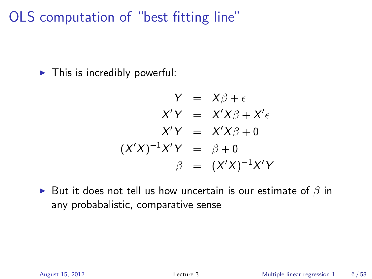OLS computation of "best fitting line"

 $\blacktriangleright$  This is incredibly powerful:

$$
Y = X\beta + \epsilon
$$
  
\n
$$
X'Y = X'X\beta + X'\epsilon
$$
  
\n
$$
X'Y = X'X\beta + 0
$$
  
\n
$$
(X'X)^{-1}X'Y = \beta + 0
$$
  
\n
$$
\beta = (X'X)^{-1}X'Y
$$

► But it does not tell us how uncertain is our estimate of  $\beta$  in any probabalistic, comparative sense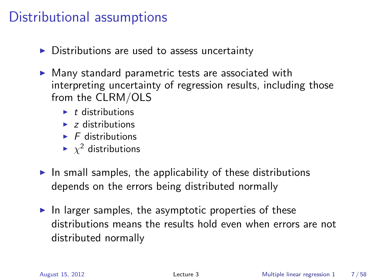## Distributional assumptions

- $\triangleright$  Distributions are used to assess uncertainty
- $\triangleright$  Many standard parametric tests are associated with interpreting uncertainty of regression results, including those from the CLRM/OLS
	- $\blacktriangleright$  t distributions
	- $\blacktriangleright$  z distributions
	- $\blacktriangleright$  F distributions
	- $\blacktriangleright \ \chi^2$  distributions
- $\blacktriangleright$  In small samples, the applicability of these distributions depends on the errors being distributed normally
- In larger samples, the asymptotic properties of these distributions means the results hold even when errors are not distributed normally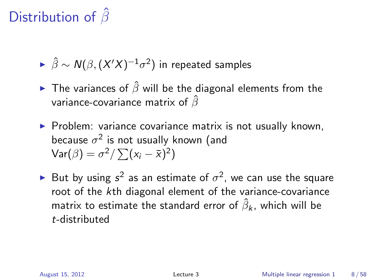# Distribution of  $\hat{\beta}$

- $\blacktriangleright \; \hat{\beta} \sim \mathcal{N}(\beta, (X'X)^{-1}\sigma^2)$  in repeated samples
- ► The variances of  $\hat{\beta}$  will be the diagonal elements from the variance-covariance matrix of  $\hat{\beta}$
- $\triangleright$  Problem: variance covariance matrix is not usually known, because  $\sigma^2$  is not usually known (and  $\text{Var}(\beta) = \sigma^2 / \sum (x_i - \bar{x})^2$
- ► But by using  $s^2$  as an estimate of  $\sigma^2$ , we can use the square root of the kth diagonal element of the variance-covariance matrix to estimate the standard error of  $\hat{\beta}_{\pmb{k}}$ , which will be t-distributed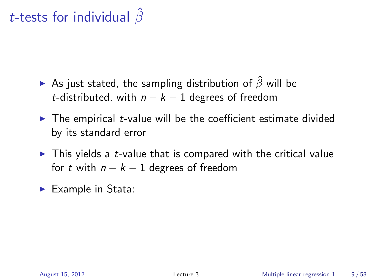# t-tests for individual  $\hat{\beta}$

- As just stated, the sampling distribution of  $\hat{\beta}$  will be t-distributed, with  $n - k - 1$  degrees of freedom
- $\triangleright$  The empirical *t*-value will be the coefficient estimate divided by its standard error
- $\blacktriangleright$  This yields a *t*-value that is compared with the critical value for t with  $n - k - 1$  degrees of freedom
- $\blacktriangleright$  Example in Stata: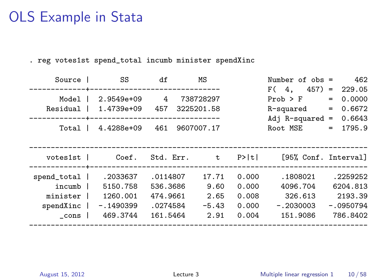## OLS Example in Stata

. reg votes1st spend\_total incumb minister spendXinc

| Source                                                     | SS                                                          | df                                                       | ΜS                                       |                                           | Number of $obs =$                                          | 462                                                        |
|------------------------------------------------------------|-------------------------------------------------------------|----------------------------------------------------------|------------------------------------------|-------------------------------------------|------------------------------------------------------------|------------------------------------------------------------|
| Model<br>Residual                                          | 2.9549e+09<br>1.4739e+09                                    | 4<br>457                                                 | 738728297<br>3225201.58                  |                                           | F(4,<br>457)<br>$Prob$ > $F$<br>R-squared                  | 229.05<br>$=$<br>0.0000<br>$=$<br>0.6672<br>$=$            |
| Total                                                      | ----------+-------------------------<br>4.4288e+09          | 461                                                      | 9607007.17                               |                                           | Adj $R$ -squared =<br>Root MSE                             | 0.6643<br>1795.9<br>$=$                                    |
| votes1st                                                   | Coef.                                                       |                                                          | Std. Err. t                              | P>  t                                     | [95% Conf. Interval]                                       |                                                            |
| spend_total  <br>incumb 1<br>minister<br>spendXinc<br>cons | .2033637<br>5150.758<br>1260.001<br>$-.1490399$<br>469.3744 | .0114807<br>536.3686<br>474.9661<br>.0274584<br>161.5464 | 17.71<br>9.60<br>2.65<br>$-5.43$<br>2.91 | 0.000<br>0.000<br>0.008<br>0.000<br>0.004 | .1808021<br>4096.704<br>326.613<br>$-.2030003$<br>151.9086 | .2259252<br>6204.813<br>2193.39<br>$-.0950794$<br>786.8402 |
|                                                            |                                                             |                                                          |                                          |                                           |                                                            |                                                            |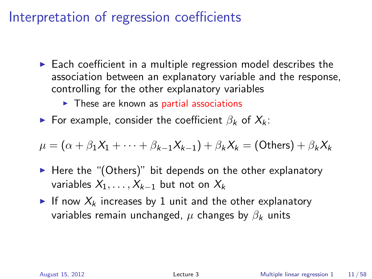## Interpretation of regression coefficients

- $\triangleright$  Each coefficient in a multiple regression model describes the association between an explanatory variable and the response, controlling for the other explanatory variables
	- $\triangleright$  These are known as partial associations
- ► For example, consider the coefficient  $\beta_k$  of  $X_k$ :

$$
\mu = (\alpha + \beta_1 X_1 + \cdots + \beta_{k-1} X_{k-1}) + \beta_k X_k = (\text{Others}) + \beta_k X_k
$$

- $\blacktriangleright$  Here the "(Others)" bit depends on the other explanatory variables  $X_1, \ldots, X_{k-1}$  but not on  $X_k$
- If now  $X_k$  increases by 1 unit and the other explanatory variables remain unchanged,  $\mu$  changes by  $\beta_k$  units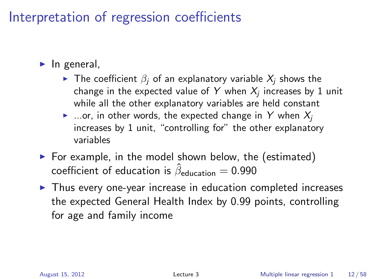## Interpretation of regression coefficients

- $\blacktriangleright$  In general,
	- $\triangleright$  The coefficient  $\beta_i$  of an explanatory variable  $X_i$  shows the change in the expected value of  $\boldsymbol{Y}$  when  $\boldsymbol{X_j}$  increases by  $1$  unit while all the other explanatory variables are held constant
	- $\blacktriangleright$  ...or, in other words, the expected change in Y when  $X_i$ increases by 1 unit, "controlling for" the other explanatory variables
- $\triangleright$  For example, in the model shown below, the (estimated) coefficient of education is  $\hat{\beta}_{\sf education} =$  0.990
- $\triangleright$  Thus every one-year increase in education completed increases the expected General Health Index by 0.99 points, controlling for age and family income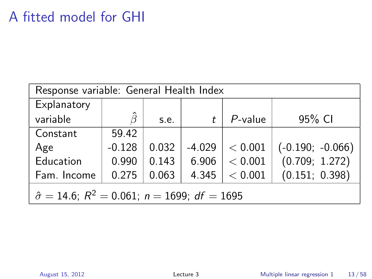## A fitted model for GHI

| Response variable: General Health Index                             |          |       |          |            |                    |  |
|---------------------------------------------------------------------|----------|-------|----------|------------|--------------------|--|
| Explanatory                                                         |          |       |          |            |                    |  |
| variable                                                            | Â        | s.e.  |          | $P$ -value | 95% CI             |  |
| Constant                                                            | 59.42    |       |          |            |                    |  |
| Age                                                                 | $-0.128$ | 0.032 | $-4.029$ | < 0.001    | $(-0.190; -0.066)$ |  |
| Education                                                           | 0.990    | 0.143 | 6.906    | < 0.001    | (0.709; 1.272)     |  |
| (0.151; 0.398)<br>Fam. Income<br>< 0.001<br>0.275<br>0.063<br>4.345 |          |       |          |            |                    |  |
| $\hat{\sigma} = 14.6$ ; $R^2 = 0.061$ ; $n = 1699$ ; $df = 1695$    |          |       |          |            |                    |  |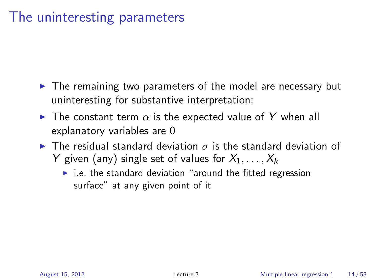## The uninteresting parameters

- $\triangleright$  The remaining two parameters of the model are necessary but uninteresting for substantive interpretation:
- $\blacktriangleright$  The constant term  $\alpha$  is the expected value of Y when all explanatory variables are 0
- $\triangleright$  The residual standard deviation  $\sigma$  is the standard deviation of Y given (any) single set of values for  $X_1, \ldots, X_k$ 
	- $\blacktriangleright$  i.e. the standard deviation "around the fitted regression surface" at any given point of it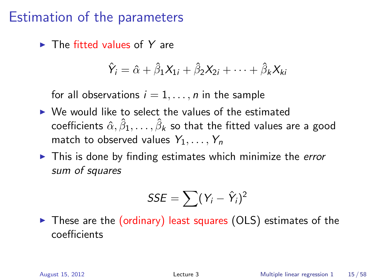$\blacktriangleright$  The fitted values of Y are

$$
\hat{Y}_i = \hat{\alpha} + \hat{\beta}_1 X_{1i} + \hat{\beta}_2 X_{2i} + \cdots + \hat{\beta}_k X_{ki}
$$

for all observations  $i = 1, \ldots, n$  in the sample

- $\triangleright$  We would like to select the values of the estimated coefficients  $\hat{\alpha}, \hat{\beta}_1, \ldots, \hat{\beta}_k$  so that the fitted values are a good match to observed values  $Y_1, \ldots, Y_n$
- $\blacktriangleright$  This is done by finding estimates which minimize the *error* sum of squares

$$
SSE = \sum (Y_i - \hat{Y}_i)^2
$$

 $\triangleright$  These are the (ordinary) least squares (OLS) estimates of the coefficients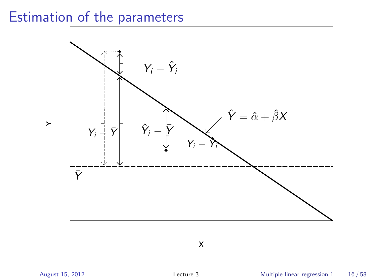

X

 $\ddot{\phantom{1}}$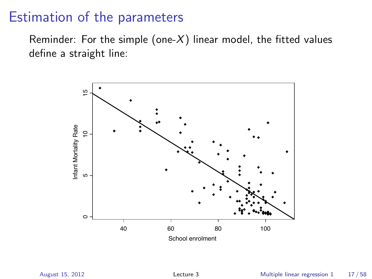Reminder: For the simple (one- $X$ ) linear model, the fitted values define a straight line:

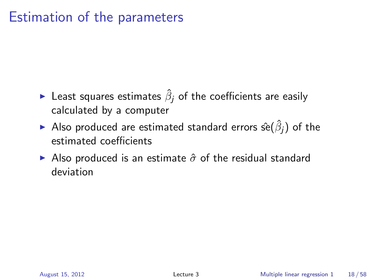- $\blacktriangleright$  Least squares estimates  $\hat{\beta}_j$  of the coefficients are easily calculated by a computer
- $\blacktriangleright$  Also produced are estimated standard errors ŝe $(\hat\beta_j)$  of the estimated coefficients
- Also produced is an estimate  $\hat{\sigma}$  of the residual standard deviation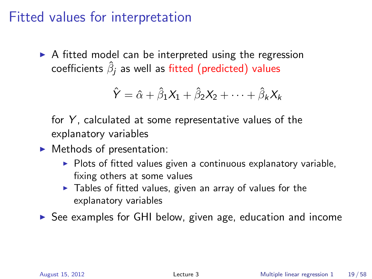## Fitted values for interpretation

 $\triangleright$  A fitted model can be interpreted using the regression coefficients  $\hat{\beta}_j$  as well as fitted (predicted) values

$$
\hat{Y} = \hat{\alpha} + \hat{\beta}_1 X_1 + \hat{\beta}_2 X_2 + \cdots + \hat{\beta}_k X_k
$$

for  $Y$ , calculated at some representative values of the explanatory variables

- $\blacktriangleright$  Methods of presentation:
	- $\triangleright$  Plots of fitted values given a continuous explanatory variable, fixing others at some values
	- $\triangleright$  Tables of fitted values, given an array of values for the explanatory variables

 $\triangleright$  See examples for GHI below, given age, education and income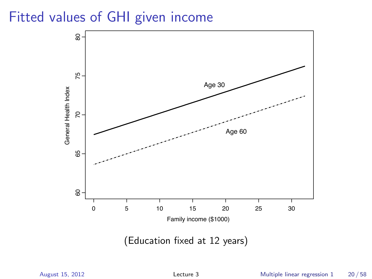## Fitted values of GHI given income



(Education fixed at 12 years)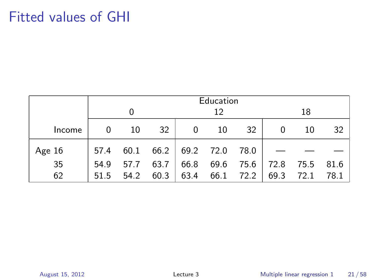# Fitted values of GHI

|          | Education |      |      |                         |      |           |      |      |      |
|----------|-----------|------|------|-------------------------|------|-----------|------|------|------|
|          |           |      |      |                         | 12   |           |      | 18   |      |
| Income   | 0         | 10   | 32   | 0                       | 10   | 32        | 0    | 10   | 32   |
| Age $16$ | 57.4      | 60.1 |      | $66.2$   69.2 72.0 78.0 |      |           |      |      |      |
| 35       | 54.9      | 57.7 | 63.7 | 66.8                    | 69.6 | 75.6      | 72.8 | 75.5 | 81.6 |
| 62       | 51.5      | 54.2 | 60.3 | 63.4                    |      | 66.1 72.2 | 69.3 | 72.1 | 78.1 |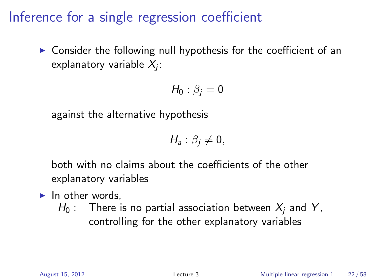$\triangleright$  Consider the following null hypothesis for the coefficient of an explanatory variable  $\mathcal{X}_{j}$ :

$$
H_0: \beta_j = 0
$$

against the alternative hypothesis

$$
H_a: \beta_j \neq 0,
$$

both with no claims about the coefficients of the other explanatory variables

- $\blacktriangleright$  In other words.
	- $H_0$ : There is no partial association between  $X_i$  and Y, controlling for the other explanatory variables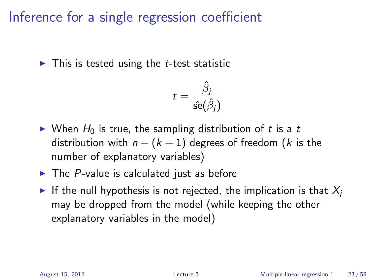$\triangleright$  This is tested using the *t*-test statistic

$$
t=\frac{\hat{\beta}_j}{\hat{\mathsf{se}}(\hat{\beta}_j)}
$$

- $\triangleright$  When  $H_0$  is true, the sampling distribution of t is a t distribution with  $n - (k + 1)$  degrees of freedom (k is the number of explanatory variables)
- $\blacktriangleright$  The P-value is calculated just as before
- If the null hypothesis is not rejected, the implication is that  $X_i$ may be dropped from the model (while keeping the other explanatory variables in the model)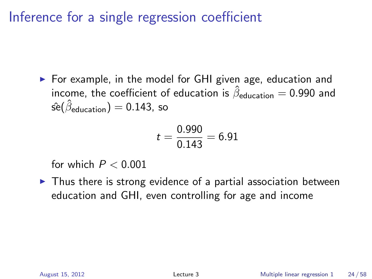$\triangleright$  For example, in the model for GHI given age, education and income, the coefficient of education is  $\hat{\beta}_{\sf education} =$  0.990 and  $\hat{\rm se}(\hat\beta_{\rm education})=$   $0.143$ , so

$$
t = \frac{0.990}{0.143} = 6.91
$$

for which  $P < 0.001$ 

 $\triangleright$  Thus there is strong evidence of a partial association between education and GHI, even controlling for age and income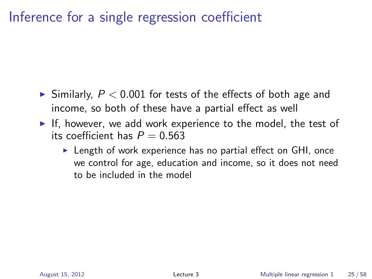- $\blacktriangleright$  Similarly,  $P < 0.001$  for tests of the effects of both age and income, so both of these have a partial effect as well
- If, however, we add work experience to the model, the test of its coefficient has  $P = 0.563$ 
	- $\triangleright$  Length of work experience has no partial effect on GHI, once we control for age, education and income, so it does not need to be included in the model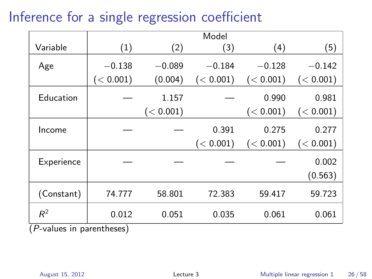|                           |           |           | Model     |           |                  |
|---------------------------|-----------|-----------|-----------|-----------|------------------|
| Variable                  | (1)       | (2)       | (3)       | (4)       | (5)              |
| Age                       | $-0.138$  | $-0.089$  | $-0.184$  | $-0.128$  | $-0.142$         |
|                           | (< 0.001) | (0.004)   | (< 0.001) | (< 0.001) | (< 0.001)        |
| Education                 |           | 1.157     |           | 0.990     | 0.981            |
|                           |           | (< 0.001) |           | (< 0.001) | (< 0.001)        |
| Income                    |           |           | 0.391     | 0.275     | 0.277            |
|                           |           |           | (< 0.001) | (< 0.001) | (< 0.001)        |
| Experience                |           |           |           |           | 0.002<br>(0.563) |
| (Constant)                | 74.777    | 58.801    | 72.383    | 59.417    | 59.723           |
| $R^2$                     | 0.012     | 0.051     | 0.035     | 0.061     | 0.061            |
| (P-values in parentheses) |           |           |           |           |                  |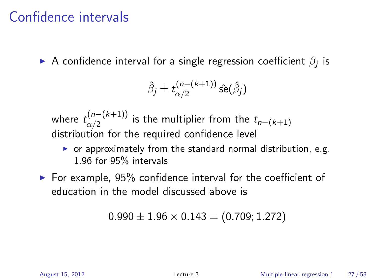## Confidence intervals

 $\blacktriangleright$  A confidence interval for a single regression coefficient  $\beta_j$  is

$$
\hat{\beta}_j \pm t_{\alpha/2}^{(n-(k+1))} \hat{\rm se}(\hat{\beta}_j)
$$

where  $t_{\alpha/2}^{(n-(k+1))}$  $\frac{d(n-(k+1))}{d(n)}$  is the multiplier from the  $t_{n-(k+1)}$ distribution for the required confidence level

- $\triangleright$  or approximately from the standard normal distribution, e.g. 1.96 for 95% intervals
- $\triangleright$  For example, 95% confidence interval for the coefficient of education in the model discussed above is

$$
0.990 \pm 1.96 \times 0.143 = (0.709; 1.272)
$$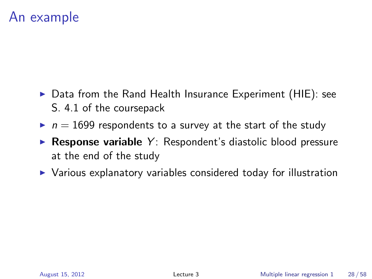## An example

- $\triangleright$  Data from the Rand Health Insurance Experiment (HIE): see S. 4.1 of the coursepack
- $\blacktriangleright$   $n = 1699$  respondents to a survey at the start of the study
- $\triangleright$  Response variable Y: Respondent's diastolic blood pressure at the end of the study
- $\triangleright$  Various explanatory variables considered today for illustration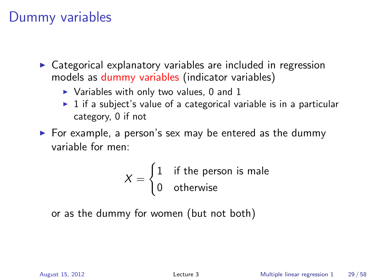### Dummy variables

- $\triangleright$  Categorical explanatory variables are included in regression models as dummy variables (indicator variables)
	- $\triangleright$  Variables with only two values, 0 and 1
	- $\triangleright$  1 if a subject's value of a categorical variable is in a particular category, 0 if not
- $\triangleright$  For example, a person's sex may be entered as the dummy variable for men:

$$
X = \begin{cases} 1 & \text{if the person is male} \\ 0 & \text{otherwise} \end{cases}
$$

or as the dummy for women (but not both)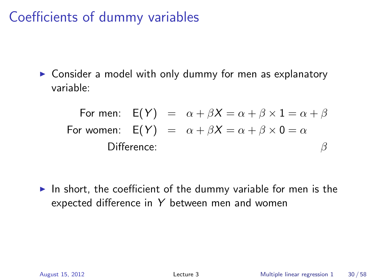# Coefficients of dummy variables

 $\triangleright$  Consider a model with only dummy for men as explanatory variable:

For men:  $E(Y) = \alpha + \beta X = \alpha + \beta \times 1 = \alpha + \beta$ For women:  $E(Y) = \alpha + \beta X = \alpha + \beta \times 0 = \alpha$ Difference:  $\beta$ 

In short, the coefficient of the dummy variable for men is the expected difference in Y between men and women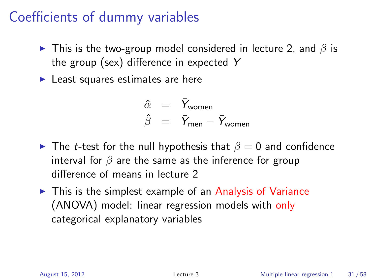# Coefficients of dummy variables

- $\triangleright$  This is the two-group model considered in lecture 2, and  $\beta$  is the group (sex) difference in expected Y
- $\blacktriangleright$  Least squares estimates are here

$$
\begin{array}{rcl}\n\hat{\alpha} & = & \bar{Y}_{\text{woman}} \\
\hat{\beta} & = & \bar{Y}_{\text{men}} - \bar{Y}_{\text{woman}}\n\end{array}
$$

- **►** The *t*-test for the null hypothesis that  $\beta = 0$  and confidence interval for  $\beta$  are the same as the inference for group difference of means in lecture 2
- $\triangleright$  This is the simplest example of an Analysis of Variance (ANOVA) model: linear regression models with only categorical explanatory variables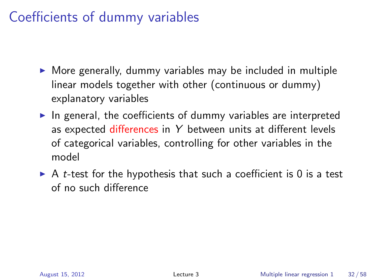# Coefficients of dummy variables

- $\triangleright$  More generally, dummy variables may be included in multiple linear models together with other (continuous or dummy) explanatory variables
- $\blacktriangleright$  In general, the coefficients of dummy variables are interpreted as expected differences in  $Y$  between units at different levels of categorical variables, controlling for other variables in the model
- $\triangleright$  A *t*-test for the hypothesis that such a coefficient is 0 is a test of no such difference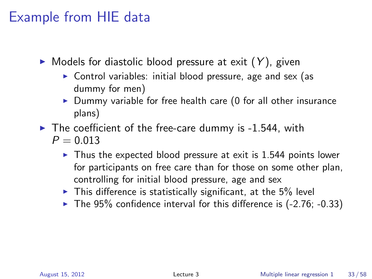## Example from HIE data

- $\triangleright$  Models for diastolic blood pressure at exit  $(Y)$ , given
	- $\triangleright$  Control variables: initial blood pressure, age and sex (as dummy for men)
	- $\triangleright$  Dummy variable for free health care (0 for all other insurance plans)
- $\blacktriangleright$  The coefficient of the free-care dummy is -1.544, with  $P = 0.013$ 
	- $\triangleright$  Thus the expected blood pressure at exit is 1.544 points lower for participants on free care than for those on some other plan, controlling for initial blood pressure, age and sex
	- $\triangleright$  This difference is statistically significant, at the 5% level
	- $\blacktriangleright$  The 95% confidence interval for this difference is (-2.76; -0.33)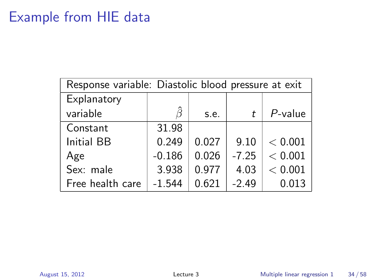## Example from HIE data

| Response variable: Diastolic blood pressure at exit |          |       |         |            |  |  |
|-----------------------------------------------------|----------|-------|---------|------------|--|--|
| Explanatory                                         |          |       |         |            |  |  |
| variable                                            |          | s.e.  | t       | $P$ -value |  |  |
| Constant                                            | 31.98    |       |         |            |  |  |
| <b>Initial BB</b>                                   | 0.249    | 0.027 | 9.10    | < 0.001    |  |  |
| Age                                                 | $-0.186$ | 0.026 | $-7.25$ | < 0.001    |  |  |
| Sex: male                                           | 3.938    | 0.977 | 4.03    | < 0.001    |  |  |
| Free health care                                    | $-1.544$ | 0.621 | $-2.49$ | 0.013      |  |  |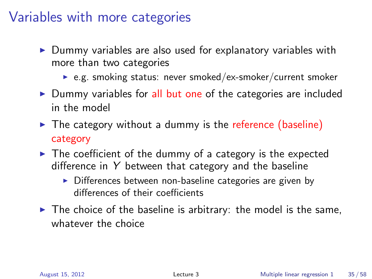## Variables with more categories

- $\triangleright$  Dummy variables are also used for explanatory variables with more than two categories
	- $\triangleright$  e.g. smoking status: never smoked/ex-smoker/current smoker
- $\triangleright$  Dummy variables for all but one of the categories are included in the model
- $\triangleright$  The category without a dummy is the reference (baseline) category
- $\blacktriangleright$  The coefficient of the dummy of a category is the expected difference in  $Y$  between that category and the baseline
	- $\triangleright$  Differences between non-baseline categories are given by differences of their coefficients
- $\blacktriangleright$  The choice of the baseline is arbitrary: the model is the same, whatever the choice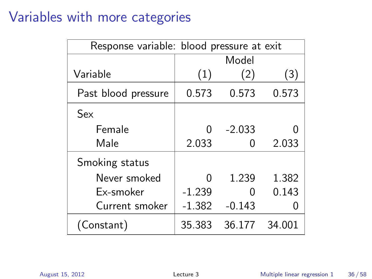## Variables with more categories

| Response variable: blood pressure at exit |          |          |        |  |
|-------------------------------------------|----------|----------|--------|--|
|                                           |          | Model    |        |  |
| Variable                                  | (1)      | (2)      | (3)    |  |
| Past blood pressure                       | 0.573    | 0.573    | 0.573  |  |
| Sex                                       |          |          |        |  |
| Female                                    | U        | $-2.033$ |        |  |
| Male                                      | 2.033    | 0        | 2.033  |  |
| Smoking status                            |          |          |        |  |
| Never smoked                              | 0        | 1.239    | 1.382  |  |
| Ex-smoker                                 | $-1.239$ | O        | 0.143  |  |
| Current smoker                            | $-1.382$ | $-0.143$ |        |  |
| (Constant)                                | 35.383   | 36.177   | 34.001 |  |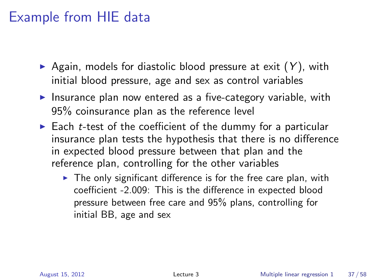## Example from HIE data

- Again, models for diastolic blood pressure at exit  $(Y)$ , with initial blood pressure, age and sex as control variables
- Insurance plan now entered as a five-category variable, with 95% coinsurance plan as the reference level
- $\triangleright$  Each *t*-test of the coefficient of the dummy for a particular insurance plan tests the hypothesis that there is no difference in expected blood pressure between that plan and the reference plan, controlling for the other variables
	- $\triangleright$  The only significant difference is for the free care plan, with coefficient -2.009: This is the difference in expected blood pressure between free care and 95% plans, controlling for initial BB, age and sex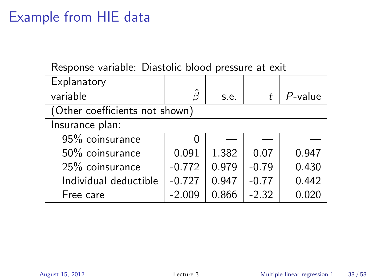## Example from HIE data

| Response variable: Diastolic blood pressure at exit |          |       |         |            |  |  |
|-----------------------------------------------------|----------|-------|---------|------------|--|--|
| Explanatory                                         |          |       |         |            |  |  |
| variable                                            | Ĝ        | s.e.  | t       | $P$ -value |  |  |
| (Other coefficients not shown)                      |          |       |         |            |  |  |
| Insurance plan:                                     |          |       |         |            |  |  |
| 95% coinsurance                                     | 0        |       |         |            |  |  |
| 50% coinsurance                                     | 0.091    | 1.382 | 0.07    | 0.947      |  |  |
| 25% coinsurance                                     | $-0.772$ | 0.979 | $-0.79$ | 0.430      |  |  |
| Individual deductible                               | $-0.727$ | 0.947 | $-0.77$ | 0.442      |  |  |
| Free care                                           | $-2.009$ | 0.866 | $-2.32$ | 0.020      |  |  |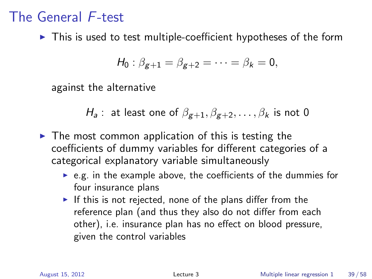$\triangleright$  This is used to test multiple-coefficient hypotheses of the form

$$
H_0: \beta_{g+1} = \beta_{g+2} = \cdots = \beta_k = 0,
$$

against the alternative

 $H_a$ : at least one of  $\beta_{g+1}, \beta_{g+2}, \ldots, \beta_k$  is not 0

- $\triangleright$  The most common application of this is testing the coefficients of dummy variables for different categories of a categorical explanatory variable simultaneously
	- $\triangleright$  e.g. in the example above, the coefficients of the dummies for four insurance plans
	- If this is not rejected, none of the plans differ from the reference plan (and thus they also do not differ from each other), i.e. insurance plan has no effect on blood pressure, given the control variables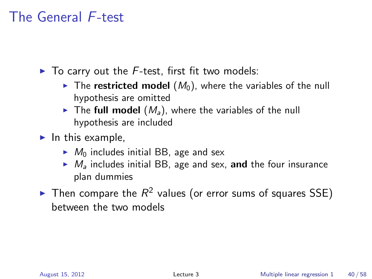$\blacktriangleright$  To carry out the F-test, first fit two models:

- $\triangleright$  The restricted model  $(M_0)$ , where the variables of the null hypothesis are omitted
- $\triangleright$  The full model  $(M_a)$ , where the variables of the null hypothesis are included
- $\blacktriangleright$  In this example,
	- $\blacktriangleright$   $M_0$  includes initial BB, age and sex
	- $\blacktriangleright M_a$  includes initial BB, age and sex, and the four insurance plan dummies
- $\blacktriangleright$  Then compare the  $R^2$  values (or error sums of squares SSE) between the two models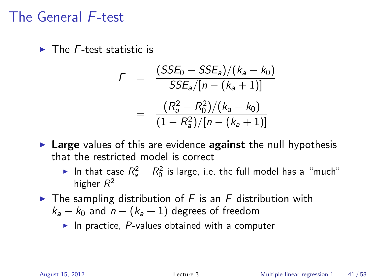$\blacktriangleright$  The F-test statistic is

$$
F = \frac{(SSE_0 - SSE_a)/(k_a - k_0)}{SSE_a/[n - (k_a + 1)]}
$$
  
= 
$$
\frac{(R_a^2 - R_0^2)/(k_a - k_0)}{(1 - R_a^2)/[n - (k_a + 1)]}
$$

- $\triangleright$  Large values of this are evidence against the null hypothesis that the restricted model is correct
	- In that case  $R_a^2 R_0^2$  is large, i.e. the full model has a "much" higher  $R^2$
- $\triangleright$  The sampling distribution of F is an F distribution with  $k_a - k_0$  and  $n - (k_a + 1)$  degrees of freedom
	- In practice,  $P$ -values obtained with a computer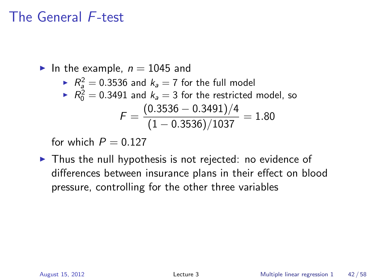In the example,  $n = 1045$  and

$$
R_a^2 = 0.3536
$$
 and  $k_a = 7$  for the full model

► 
$$
R_0^2 = 0.3491
$$
 and  $k_a = 3$  for the restricted model, so  

$$
F = \frac{(0.3536 - 0.3491)/4}{(1 - 0.3536)/1037} = 1.80
$$

for which  $P = 0.127$ 

 $\triangleright$  Thus the null hypothesis is not rejected: no evidence of differences between insurance plans in their effect on blood pressure, controlling for the other three variables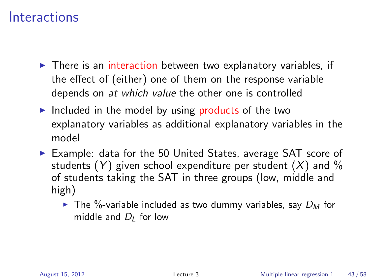- $\triangleright$  There is an interaction between two explanatory variables, if the effect of (either) one of them on the response variable depends on at which value the other one is controlled
- Included in the model by using products of the two explanatory variables as additional explanatory variables in the model
- $\triangleright$  Example: data for the 50 United States, average SAT score of students  $(Y)$  given school expenditure per student  $(X)$  and  $\%$ of students taking the SAT in three groups (low, middle and high)
	- $\blacktriangleright$  The %-variable included as two dummy variables, say  $D_M$  for middle and  $D_l$  for low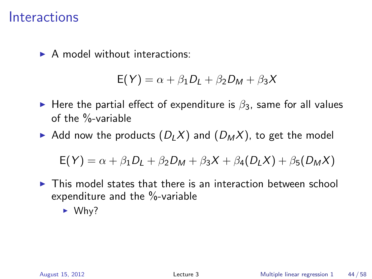$\triangleright$  A model without interactions:

$$
E(Y) = \alpha + \beta_1 D_L + \beta_2 D_M + \beta_3 X
$$

- Here the partial effect of expenditure is  $\beta_3$ , same for all values of the %-variable
- Add now the products  $(D_LX)$  and  $(D_MX)$ , to get the model

$$
E(Y) = \alpha + \beta_1 D_L + \beta_2 D_M + \beta_3 X + \beta_4 (D_L X) + \beta_5 (D_M X)
$$

 $\triangleright$  This model states that there is an interaction between school expenditure and the %-variable

 $\blacktriangleright$  Why?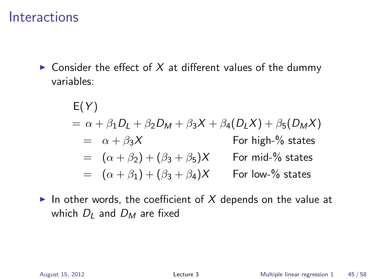$\triangleright$  Consider the effect of X at different values of the dummy variables:

$$
E(Y)
$$
  
=  $\alpha + \beta_1 D_L + \beta_2 D_M + \beta_3 X + \beta_4 (D_L X) + \beta_5 (D_M X)$   
=  $\alpha + \beta_3 X$  For high-% states  
=  $(\alpha + \beta_2) + (\beta_3 + \beta_5) X$  For mid-% states  
=  $(\alpha + \beta_1) + (\beta_3 + \beta_4) X$  For low-% states

In other words, the coefficient of  $X$  depends on the value at which  $D_l$  and  $D_M$  are fixed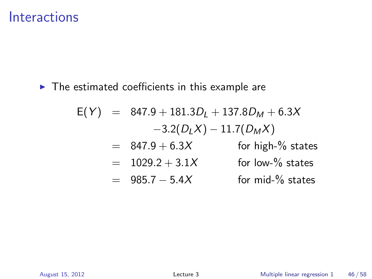$\blacktriangleright$  The estimated coefficients in this example are

$$
E(Y) = 847.9 + 181.3DL + 137.8DM + 6.3X
$$
  
\n
$$
-3.2(DLX) - 11.7(DMX)
$$
  
\n
$$
= 847.9 + 6.3X
$$
 for high-% states  
\n
$$
= 1029.2 + 3.1X
$$
 for low-% states  
\n
$$
= 985.7 - 5.4X
$$
 for mid-% states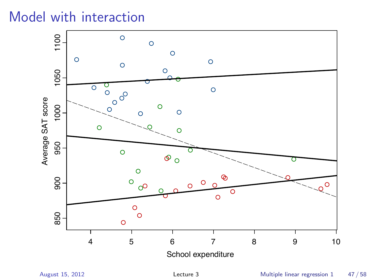## Model with interaction

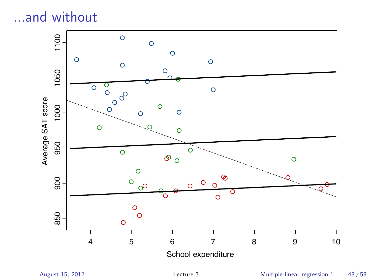...and without



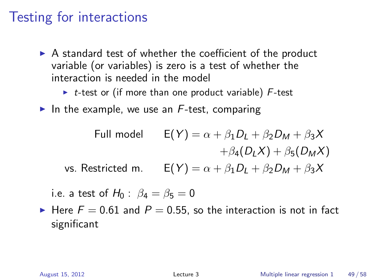## Testing for interactions

- $\triangleright$  A standard test of whether the coefficient of the product variable (or variables) is zero is a test of whether the interaction is needed in the model
	- $\triangleright$  t-test or (if more than one product variable) F-test
- In the example, we use an  $F$ -test, comparing

Full model

\n
$$
E(Y) = \alpha + \beta_1 D_L + \beta_2 D_M + \beta_3 X
$$
\n
$$
+ \beta_4 (D_L X) + \beta_5 (D_M X)
$$
\nvs. Restricted m.

\n
$$
E(Y) = \alpha + \beta_1 D_L + \beta_2 D_M + \beta_3 X
$$

- i.e. a test of  $H_0$ :  $\beta_4 = \beta_5 = 0$
- Here  $F = 0.61$  and  $P = 0.55$ , so the interaction is not in fact significant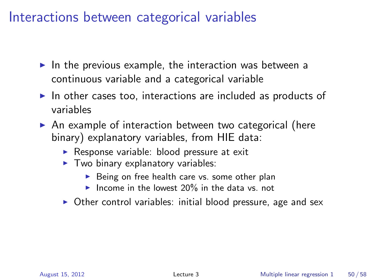#### Interactions between categorical variables

- In the previous example, the interaction was between a continuous variable and a categorical variable
- $\triangleright$  In other cases too, interactions are included as products of variables
- $\triangleright$  An example of interaction between two categorical (here binary) explanatory variables, from HIE data:
	- $\triangleright$  Response variable: blood pressure at exit
	- $\blacktriangleright$  Two binary explanatory variables:
		- $\triangleright$  Being on free health care vs. some other plan
		- Income in the lowest  $20\%$  in the data vs. not
	- $\triangleright$  Other control variables: initial blood pressure, age and sex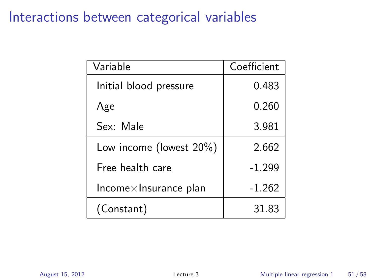## Interactions between categorical variables

| Variable                      | Coefficient |
|-------------------------------|-------------|
| Initial blood pressure        | 0.483       |
| Age                           | 0.260       |
| Sex: Male                     | 3.981       |
| Low income (lowest $20\%$ )   | 2.662       |
| Free health care              | $-1.299$    |
| $Income\times Insurance plan$ | $-1.262$    |
| (Constant)                    | 31.83       |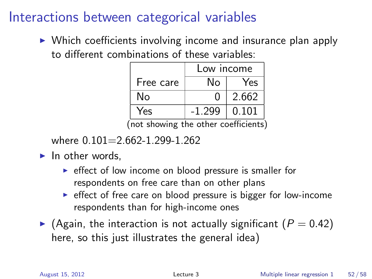## Interactions between categorical variables

 $\triangleright$  Which coefficients involving income and insurance plan apply to different combinations of these variables:

|                                                | Low income |       |  |  |  |
|------------------------------------------------|------------|-------|--|--|--|
| Free care                                      | N٥         | Yes   |  |  |  |
| N٥                                             | O          | 2.662 |  |  |  |
| Yes<br>$-1.299$<br>0.101                       |            |       |  |  |  |
| chowing the other coefficients<br>$n \wedge t$ |            |       |  |  |  |

(not showing the other coefficients)

where  $0.101=2.662-1.299-1.262$ 

 $\blacktriangleright$  In other words.

- $\triangleright$  effect of low income on blood pressure is smaller for respondents on free care than on other plans
- $\triangleright$  effect of free care on blood pressure is bigger for low-income respondents than for high-income ones
- $\blacktriangleright$  (Again, the interaction is not actually significant ( $P = 0.42$ ) here, so this just illustrates the general idea)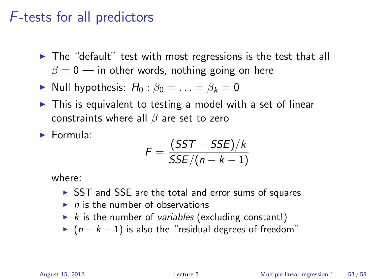## F-tests for all predictors

- $\triangleright$  The "default" test with most regressions is the test that all  $\beta = 0$  — in other words, nothing going on here
- $\triangleright$  Null hypothesis:  $H_0$ :  $\beta_0 = \ldots = \beta_k = 0$
- $\triangleright$  This is equivalent to testing a model with a set of linear constraints where all  $\beta$  are set to zero
- **Formula:**

$$
F = \frac{(SST - SSE)/k}{SSE/(n - k - 1)}
$$

where:

- $\triangleright$  SST and SSE are the total and error sums of squares
- $\blacktriangleright$  n is the number of observations
- $\triangleright$  k is the number of variables (excluding constant!)
- $\triangleright$  (n − k − 1) is also the "residual degrees of freedom"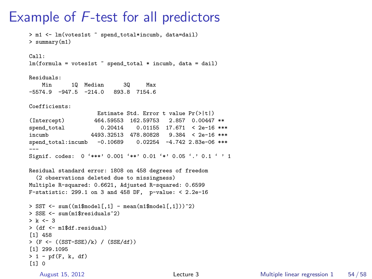## Example of F-test for all predictors

```
> m1 <- lm(votes1st ~ spend_total*incumb, data=dail)
> summary(m1)
Call:
lm(formula = votes1st \tilde{ } spend total * incumb, data = dail)
Residuals:
   Min 1Q Median 3Q Max
-5574.9 -947.5 -214.0 893.8 7154.6
Coefficients:
                   Estimate Std. Error t value Pr(>|t|)
(Intercept) 464.59553 162.59753 2.857 0.00447 **
                 0.20414 0.01155 17.671 < 2e-16 ***
incumb 4493.32513 478.80828 9.384 < 2e-16 ***
spend_total:incumb -0.10689 0.02254 -4.742 2.83e-06 ***
---
Signif. codes: 0 '***' 0.001 '**' 0.01 '*' 0.05 '.' 0.1 ' ' 1
Residual standard error: 1808 on 458 degrees of freedom
  (2 observations deleted due to missingness)
Multiple R-squared: 0.6621, Adjusted R-squared: 0.6599
F-statistic: 299.1 on 3 and 458 DF, p-value: < 2.2e-16
> SST \leq sum((m1$model[,1] - mean(m1$model[,1]))^2)
> SSE <- sum(m1$residuals^2)
> k < -3> (df <- m1$df.residual)
[1] 458
> (F <- ((SST-SSE)/k) / (SSE/df))
[1] 299.1095
> 1 - pf(F, k, df)[1] 0
```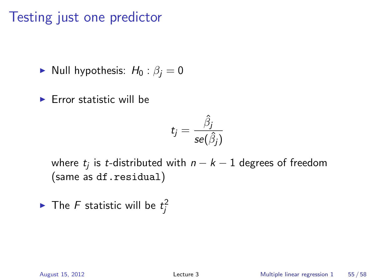## Testing just one predictor

Null hypothesis:  $H_0: \beta_i = 0$ 

 $\blacktriangleright$  Error statistic will be

$$
t_j = \frac{\hat{\beta}_j}{\textit{se}(\hat{\beta}_j)}
$$

where  $t_j$  is  $t$ -distributed with  $n-k-1$  degrees of freedom (same as df.residual)

 $\blacktriangleright$  The F statistic will be  $t_j^2$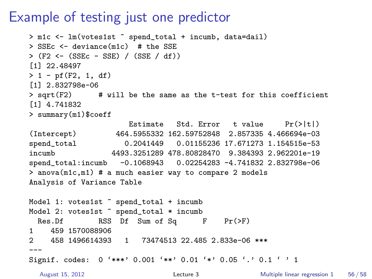## Example of testing just one predictor

```
> m1c <- lm(votes1st ~ spend_total + incumb, data=dail)
> SSEc <- deviance(m1c) # the SSE
> (F2 <- (SSEc - SSE) / (SSE / df))
[1] 22.48497
> 1 - pf(F2, 1, df)[1] 2.832798e-06
> sqrt(F2) # will be the same as the t-test for this coefficient
[1] 4.741832
> summary(m1)$coeff
                     Estimate Std. Error t value Pr(>\vert t \vert)(Intercept) 464.5955332 162.59752848 2.857335 4.466694e-03
spend_total 0.2041449 0.01155236 17.671273 1.154515e-53
incumb 4493.3251289 478.80828470 9.384393 2.962201e-19
spend_total:incumb -0.1068943 0.02254283 -4.741832 2.832798e-06
> anova(m1c,m1) # a much easier way to compare 2 models
Analysis of Variance Table
Model 1: votes1st " spend_total + incumb
Model 2: votes1st \tilde{ } spend_total * incumb
 Res.Df RSS Df Sum of Sq F Pr(\geq F)1 459 1570088906
2 458 1496614393 1 73474513 22.485 2.833e-06 ***
---
Signif. codes: 0 '***' 0.001 '**' 0.01 '*' 0.05 '.' 0.1 ' ' 1
  August 15, 2012 Lecture 3 Multiple linear regression 1 56 / 58
```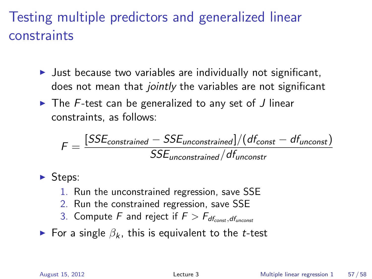# Testing multiple predictors and generalized linear constraints

- I Just because two variables are individually not significant, does not mean that jointly the variables are not significant
- $\triangleright$  The F-test can be generalized to any set of J linear constraints, as follows:

$$
\digamma = \frac{[SSE_{constrained} - SSE_{unconstrained}]/(df_{const} - df_{unconst})}{SSE_{unconstrained}/df_{unconstr}}
$$

 $\blacktriangleright$  Steps:

- 1. Run the unconstrained regression, save SSE
- 2. Run the constrained regression, save SSE
- 3. Compute F and reject if  $F > F_{df_{const},df_{uncost}}$
- For a single  $\beta_k$ , this is equivalent to the *t*-test